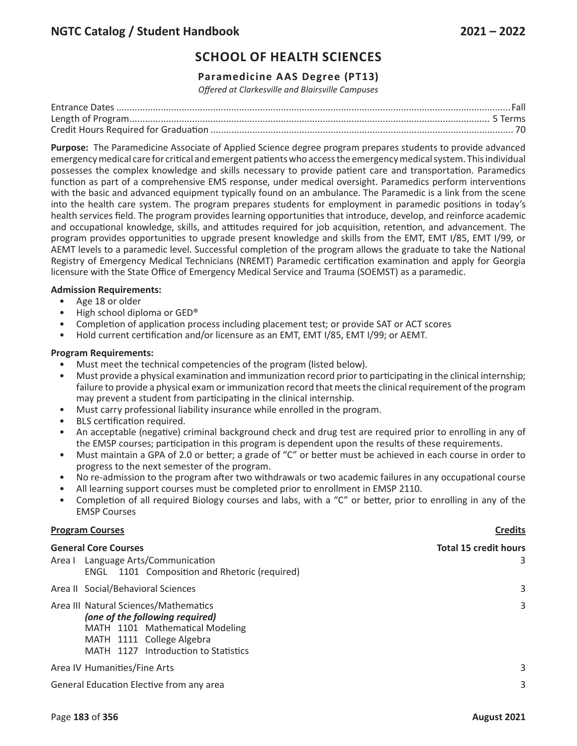## **Paramedicine AAS Degree (PT13)**

*Offered at Clarkesville and Blairsville Campuses*

**Purpose:** The Paramedicine Associate of Applied Science degree program prepares students to provide advanced emergency medical care for critical and emergent patients who access the emergency medical system. This individual possesses the complex knowledge and skills necessary to provide patient care and transportation. Paramedics function as part of a comprehensive EMS response, under medical oversight. Paramedics perform interventions with the basic and advanced equipment typically found on an ambulance. The Paramedic is a link from the scene into the health care system. The program prepares students for employment in paramedic positions in today's health services field. The program provides learning opportunities that introduce, develop, and reinforce academic and occupational knowledge, skills, and attitudes required for job acquisition, retention, and advancement. The program provides opportunities to upgrade present knowledge and skills from the EMT, EMT I/85, EMT I/99, or AEMT levels to a paramedic level. Successful completion of the program allows the graduate to take the National Registry of Emergency Medical Technicians (NREMT) Paramedic certification examination and apply for Georgia licensure with the State Office of Emergency Medical Service and Trauma (SOEMST) as a paramedic.

## **Admission Requirements:**

- Age 18 or older
- High school diploma or GED®
- Completion of application process including placement test; or provide SAT or ACT scores
- Hold current certification and/or licensure as an EMT, EMT I/85, EMT I/99; or AEMT.

## **Program Requirements:**

- Must meet the technical competencies of the program (listed below).
- Must provide a physical examination and immunization record prior to participating in the clinical internship; failure to provide a physical exam or immunization record that meets the clinical requirement of the program may prevent a student from participating in the clinical internship.
- Must carry professional liability insurance while enrolled in the program.
- BLS certification required.
- An acceptable (negative) criminal background check and drug test are required prior to enrolling in any of the EMSP courses; participation in this program is dependent upon the results of these requirements.
- Must maintain a GPA of 2.0 or better; a grade of "C" or better must be achieved in each course in order to progress to the next semester of the program.
- No re-admission to the program after two withdrawals or two academic failures in any occupational course
- All learning support courses must be completed prior to enrollment in EMSP 2110.
- Completion of all required Biology courses and labs, with a "C" or better, prior to enrolling in any of the EMSP Courses

## **Program Courses Credits**

| <b>General Core Courses</b>                                                                                                                                                      | <b>Total 15 credit hours</b> |
|----------------------------------------------------------------------------------------------------------------------------------------------------------------------------------|------------------------------|
| Area I Language Arts/Communication<br>ENGL 1101 Composition and Rhetoric (required)                                                                                              | 3                            |
| Area II Social/Behavioral Sciences                                                                                                                                               | 3                            |
| Area III Natural Sciences/Mathematics<br>(one of the following required)<br>MATH 1101 Mathematical Modeling<br>MATH 1111 College Algebra<br>MATH 1127 Introduction to Statistics | 3                            |
| Area IV Humanities/Fine Arts                                                                                                                                                     | 3                            |
| General Education Elective from any area                                                                                                                                         | 3                            |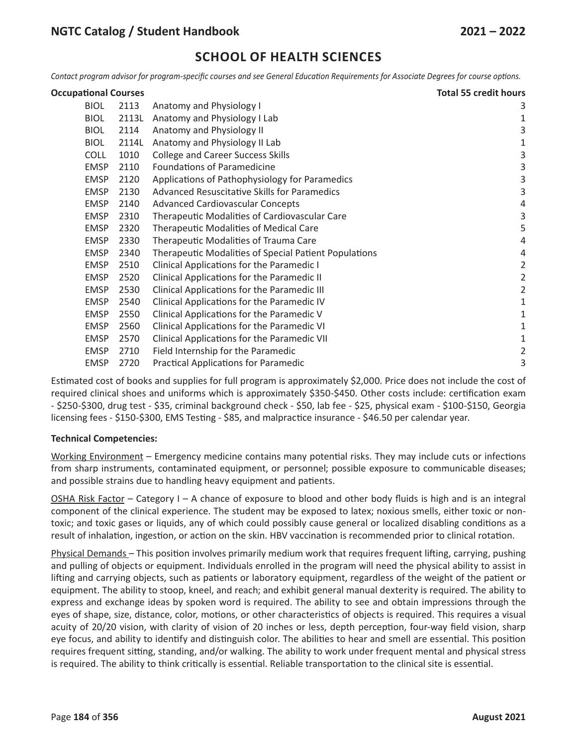Contact program advisor for program-specific courses and see General Education Requirements for Associate Degrees for course options.

| <b>Occupational Courses</b> |       |                                                       | <b>Total 55 credit hours</b> |
|-----------------------------|-------|-------------------------------------------------------|------------------------------|
| <b>BIOL</b>                 | 2113  | Anatomy and Physiology I                              | 3                            |
| <b>BIOL</b>                 | 2113L | Anatomy and Physiology I Lab                          | 1                            |
| <b>BIOL</b>                 | 2114  | Anatomy and Physiology II                             | 3                            |
| <b>BIOL</b>                 | 2114L | Anatomy and Physiology II Lab                         | 1                            |
| <b>COLL</b>                 | 1010  | <b>College and Career Success Skills</b>              | 3                            |
| <b>EMSP</b>                 | 2110  | <b>Foundations of Paramedicine</b>                    | 3                            |
| <b>EMSP</b>                 | 2120  | Applications of Pathophysiology for Paramedics        | 3                            |
| <b>EMSP</b>                 | 2130  | Advanced Resuscitative Skills for Paramedics          | 3                            |
| <b>EMSP</b>                 | 2140  | <b>Advanced Cardiovascular Concepts</b>               | 4                            |
| <b>EMSP</b>                 | 2310  | Therapeutic Modalities of Cardiovascular Care         | 3                            |
| <b>EMSP</b>                 | 2320  | <b>Therapeutic Modalities of Medical Care</b>         | 5                            |
| <b>EMSP</b>                 | 2330  | Therapeutic Modalities of Trauma Care                 | 4                            |
| <b>EMSP</b>                 | 2340  | Therapeutic Modalities of Special Patient Populations | 4                            |
| <b>EMSP</b>                 | 2510  | Clinical Applications for the Paramedic I             | $\overline{2}$               |
| <b>EMSP</b>                 | 2520  | Clinical Applications for the Paramedic II            | $\overline{2}$               |
| <b>EMSP</b>                 | 2530  | Clinical Applications for the Paramedic III           | $\overline{2}$               |
| <b>EMSP</b>                 | 2540  | Clinical Applications for the Paramedic IV            | 1                            |
| <b>EMSP</b>                 | 2550  | Clinical Applications for the Paramedic V             | 1                            |
| <b>EMSP</b>                 | 2560  | Clinical Applications for the Paramedic VI            | 1                            |
| <b>EMSP</b>                 | 2570  | Clinical Applications for the Paramedic VII           | 1                            |
| <b>EMSP</b>                 | 2710  | Field Internship for the Paramedic                    | 2                            |
| <b>EMSP</b>                 | 2720  | <b>Practical Applications for Paramedic</b>           | 3                            |

Estimated cost of books and supplies for full program is approximately \$2,000. Price does not include the cost of required clinical shoes and uniforms which is approximately \$350-\$450. Other costs include: certification exam - \$250-\$300, drug test - \$35, criminal background check - \$50, lab fee - \$25, physical exam - \$100-\$150, Georgia licensing fees - \$150-\$300, EMS Testing - \$85, and malpractice insurance - \$46.50 per calendar year.

## **Technical Competencies:**

Working Environment – Emergency medicine contains many potential risks. They may include cuts or infections from sharp instruments, contaminated equipment, or personnel; possible exposure to communicable diseases; and possible strains due to handling heavy equipment and patients.

OSHA Risk Factor – Category I – A chance of exposure to blood and other body fluids is high and is an integral component of the clinical experience. The student may be exposed to latex; noxious smells, either toxic or nontoxic; and toxic gases or liquids, any of which could possibly cause general or localized disabling conditions as a result of inhalation, ingestion, or action on the skin. HBV vaccination is recommended prior to clinical rotation.

Physical Demands – This position involves primarily medium work that requires frequent lifting, carrying, pushing and pulling of objects or equipment. Individuals enrolled in the program will need the physical ability to assist in lifting and carrying objects, such as patients or laboratory equipment, regardless of the weight of the patient or equipment. The ability to stoop, kneel, and reach; and exhibit general manual dexterity is required. The ability to express and exchange ideas by spoken word is required. The ability to see and obtain impressions through the eyes of shape, size, distance, color, motions, or other characteristics of objects is required. This requires a visual acuity of 20/20 vision, with clarity of vision of 20 inches or less, depth perception, four-way field vision, sharp eye focus, and ability to identify and distinguish color. The abilities to hear and smell are essential. This position requires frequent sitting, standing, and/or walking. The ability to work under frequent mental and physical stress is required. The ability to think critically is essential. Reliable transportation to the clinical site is essential.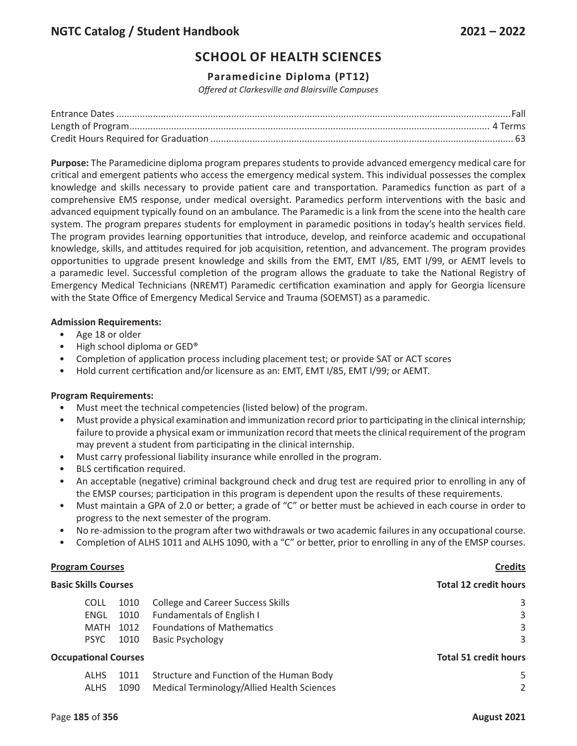## **Paramedicine Diploma (PT12)**

*Offered at Clarkesville and Blairsville Campuses*

**Purpose:** The Paramedicine diploma program prepares students to provide advanced emergency medical care for critical and emergent patients who access the emergency medical system. This individual possesses the complex knowledge and skills necessary to provide patient care and transportation. Paramedics function as part of a comprehensive EMS response, under medical oversight. Paramedics perform interventions with the basic and advanced equipment typically found on an ambulance. The Paramedic is a link from the scene into the health care system. The program prepares students for employment in paramedic positions in today's health services field. The program provides learning opportunities that introduce, develop, and reinforce academic and occupational knowledge, skills, and attitudes required for job acquisition, retention, and advancement. The program provides opportunities to upgrade present knowledge and skills from the EMT, EMT I/85, EMT I/99, or AEMT levels to a paramedic level. Successful completion of the program allows the graduate to take the National Registry of Emergency Medical Technicians (NREMT) Paramedic certification examination and apply for Georgia licensure with the State Office of Emergency Medical Service and Trauma (SOEMST) as a paramedic.

## **Admission Requirements:**

- Age 18 or older
- High school diploma or GED®
- Completion of application process including placement test; or provide SAT or ACT scores
- Hold current certification and/or licensure as an: EMT, EMT I/85, EMT I/99; or AEMT.

## **Program Requirements:**

- Must meet the technical competencies (listed below) of the program.
- Must provide a physical examination and immunization record prior to participating in the clinical internship; failure to provide a physical exam or immunization record that meets the clinical requirement of the program may prevent a student from participating in the clinical internship.
- Must carry professional liability insurance while enrolled in the program.
- BLS certification required.
- An acceptable (negative) criminal background check and drug test are required prior to enrolling in any of the EMSP courses; participation in this program is dependent upon the results of these requirements.
- Must maintain a GPA of 2.0 or better; a grade of "C" or better must be achieved in each course in order to progress to the next semester of the program.
- No re-admission to the program after two withdrawals or two academic failures in any occupational course.
- Completion of ALHS 1011 and ALHS 1090, with a "C" or better, prior to enrolling in any of the EMSP courses.

## **Program Courses Credits**

| <b>Basic Skills Courses</b> |             |                              |                                            | <b>Total 12 credit hours</b> |
|-----------------------------|-------------|------------------------------|--------------------------------------------|------------------------------|
|                             | <b>COLL</b> | 1010                         | <b>College and Career Success Skills</b>   | 3                            |
|                             | ENGL        | 1010                         | Fundamentals of English I                  | 3                            |
|                             | MATH        | 1012                         | <b>Foundations of Mathematics</b>          | 3                            |
|                             | <b>PSYC</b> | 1010                         | <b>Basic Psychology</b>                    | 3                            |
| <b>Occupational Courses</b> |             | <b>Total 51 credit hours</b> |                                            |                              |
|                             | <b>ALHS</b> | 1011                         | Structure and Function of the Human Body   | 5                            |
|                             | <b>ALHS</b> | 1090                         | Medical Terminology/Allied Health Sciences | 2                            |
|                             |             |                              |                                            |                              |